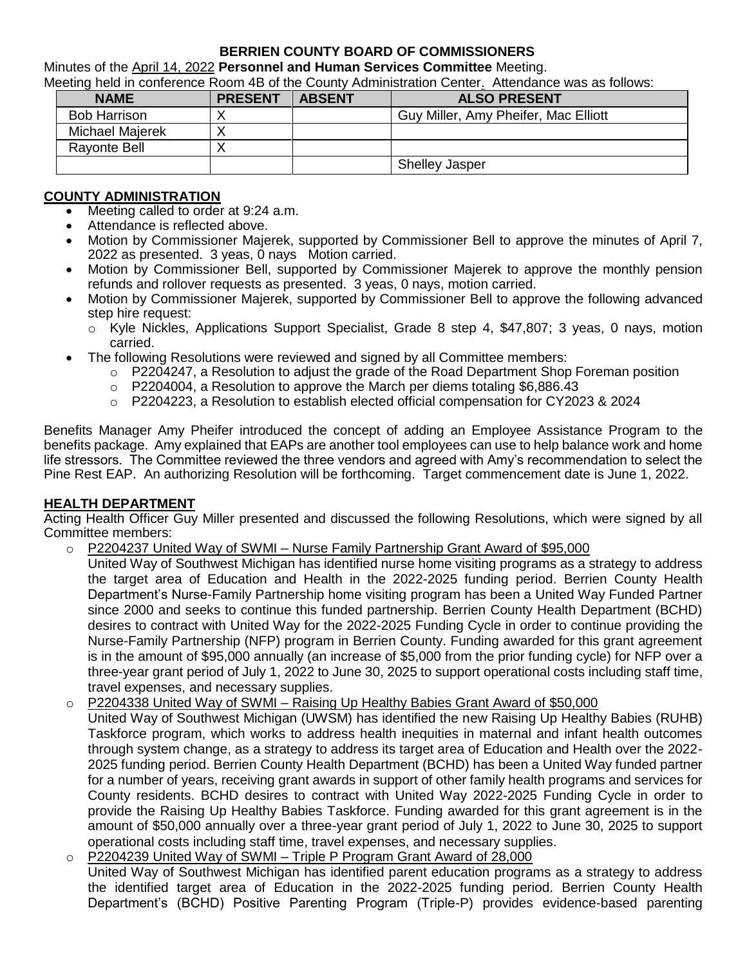## **BERRIEN COUNTY BOARD OF COMMISSIONERS**

Minutes of the April 14, 2022 **Personnel and Human Services Committee** Meeting.

Meeting held in conference Room 4B of the County Administration Center. Attendance was as follows:

| <b>NAME</b>         | <b>PRESENT</b> | <b>ABSENT</b> | <b>ALSO PRESENT</b>                  |
|---------------------|----------------|---------------|--------------------------------------|
| <b>Bob Harrison</b> |                |               | Guy Miller, Amy Pheifer, Mac Elliott |
| Michael Majerek     |                |               |                                      |
| <b>Rayonte Bell</b> |                |               |                                      |
|                     |                |               | <b>Shelley Jasper</b>                |

## **COUNTY ADMINISTRATION**

- Meeting called to order at 9:24 a.m.
- Attendance is reflected above.
- Motion by Commissioner Majerek, supported by Commissioner Bell to approve the minutes of April 7, 2022 as presented. 3 yeas, 0 nays Motion carried.
- Motion by Commissioner Bell, supported by Commissioner Majerek to approve the monthly pension refunds and rollover requests as presented. 3 yeas, 0 nays, motion carried.
- Motion by Commissioner Majerek, supported by Commissioner Bell to approve the following advanced step hire request:
	- $\circ$  Kyle Nickles, Applications Support Specialist, Grade 8 step 4, \$47,807; 3 yeas, 0 nays, motion carried.
	- The following Resolutions were reviewed and signed by all Committee members:
		- $\circ$  P2204247, a Resolution to adjust the grade of the Road Department Shop Foreman position
		- o P2204004, a Resolution to approve the March per diems totaling \$6,886.43
		- o P2204223, a Resolution to establish elected official compensation for CY2023 & 2024

Benefits Manager Amy Pheifer introduced the concept of adding an Employee Assistance Program to the benefits package. Amy explained that EAPs are another tool employees can use to help balance work and home life stressors. The Committee reviewed the three vendors and agreed with Amy's recommendation to select the Pine Rest EAP. An authorizing Resolution will be forthcoming. Target commencement date is June 1, 2022.

## **HEALTH DEPARTMENT**

Acting Health Officer Guy Miller presented and discussed the following Resolutions, which were signed by all Committee members:

- P2204237 United Way of SWMI Nurse Family Partnership Grant Award of \$95,000
	- United Way of Southwest Michigan has identified nurse home visiting programs as a strategy to address the target area of Education and Health in the 2022-2025 funding period. Berrien County Health Department's Nurse-Family Partnership home visiting program has been a United Way Funded Partner since 2000 and seeks to continue this funded partnership. Berrien County Health Department (BCHD) desires to contract with United Way for the 2022-2025 Funding Cycle in order to continue providing the Nurse-Family Partnership (NFP) program in Berrien County. Funding awarded for this grant agreement is in the amount of \$95,000 annually (an increase of \$5,000 from the prior funding cycle) for NFP over a three-year grant period of July 1, 2022 to June 30, 2025 to support operational costs including staff time, travel expenses, and necessary supplies.
- o P2204338 United Way of SWMI Raising Up Healthy Babies Grant Award of \$50,000
- United Way of Southwest Michigan (UWSM) has identified the new Raising Up Healthy Babies (RUHB) Taskforce program, which works to address health inequities in maternal and infant health outcomes through system change, as a strategy to address its target area of Education and Health over the 2022- 2025 funding period. Berrien County Health Department (BCHD) has been a United Way funded partner for a number of years, receiving grant awards in support of other family health programs and services for County residents. BCHD desires to contract with United Way 2022-2025 Funding Cycle in order to provide the Raising Up Healthy Babies Taskforce. Funding awarded for this grant agreement is in the amount of \$50,000 annually over a three-year grant period of July 1, 2022 to June 30, 2025 to support operational costs including staff time, travel expenses, and necessary supplies.
- o P2204239 United Way of SWMI Triple P Program Grant Award of 28,000 United Way of Southwest Michigan has identified parent education programs as a strategy to address the identified target area of Education in the 2022-2025 funding period. Berrien County Health Department's (BCHD) Positive Parenting Program (Triple-P) provides evidence-based parenting